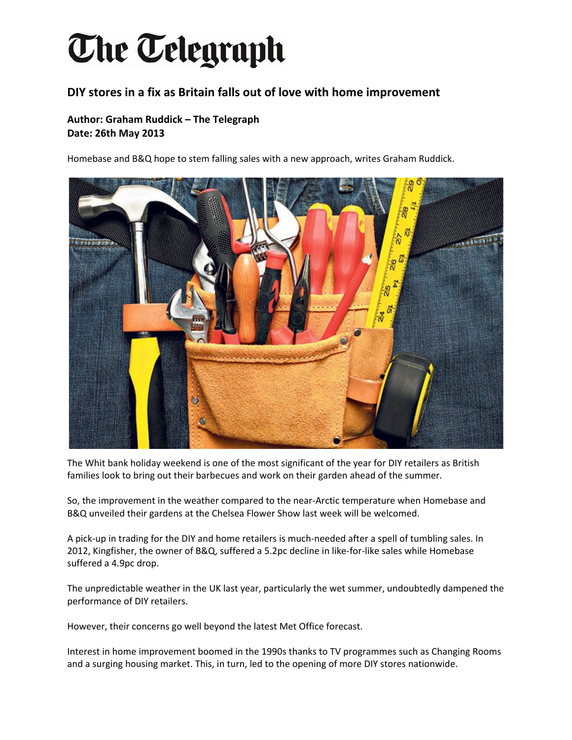# **The Telegraph**

### **DIY stores in a fix as Britain falls out of love with home improvement**

#### **Author: Graham Ruddick – The Telegraph Date: 26th May 2013**

Homebase and B&Q hope to stem falling sales with a new approach, writes Graham Ruddick.



The Whit bank holiday weekend is one of the most significant of the year for DIY retailers as British families look to bring out their barbecues and work on their garden ahead of the summer.

So, the improvement in the weather compared to the near-Arctic temperature when Homebase and B&Q unveiled their gardens at the Chelsea Flower Show last week will be welcomed.

A pick-up in trading for the DIY and home retailers is much-needed after a spell of tumbling sales. In 2012, Kingfisher, the owner of B&Q, suffered a 5.2pc decline in like-for-like sales while Homebase suffered a 4.9pc drop.

The unpredictable weather in the UK last year, particularly the wet summer, undoubtedly dampened the performance of DIY retailers.

However, their concerns go well beyond the latest Met Office forecast.

Interest in home improvement boomed in the 1990s thanks to TV programmes such as Changing Rooms and a surging housing market. This, in turn, led to the opening of more DIY stores nationwide.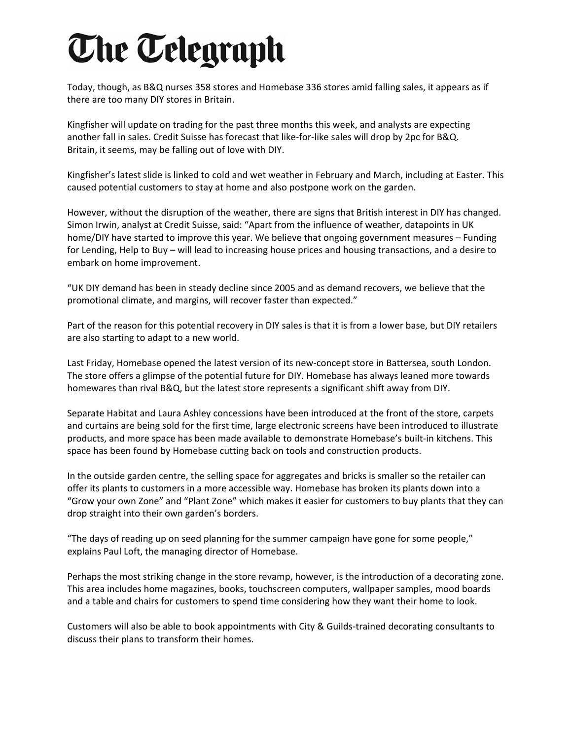## **The Telegraph**

Today, though, as B&Q nurses 358 stores and Homebase 336 stores amid falling sales, it appears as if there are too many DIY stores in Britain.

Kingfisher will update on trading for the past three months this week, and analysts are expecting another fall in sales. Credit Suisse has forecast that like-for-like sales will drop by 2pc for B&Q. Britain, it seems, may be falling out of love with DIY.

Kingfisher's latest slide is linked to cold and wet weather in February and March, including at Easter. This caused potential customers to stay at home and also postpone work on the garden.

However, without the disruption of the weather, there are signs that British interest in DIY has changed. Simon Irwin, analyst at Credit Suisse, said: "Apart from the influence of weather, datapoints in UK home/DIY have started to improve this year. We believe that ongoing government measures - Funding for Lending, Help to Buy – will lead to increasing house prices and housing transactions, and a desire to embark on home improvement.

"UK DIY demand has been in steady decline since 2005 and as demand recovers, we believe that the promotional climate, and margins, will recover faster than expected."

Part of the reason for this potential recovery in DIY sales is that it is from a lower base, but DIY retailers are also starting to adapt to a new world.

Last Friday, Homebase opened the latest version of its new-concept store in Battersea, south London. The store offers a glimpse of the potential future for DIY. Homebase has always leaned more towards homewares than rival B&Q, but the latest store represents a significant shift away from DIY.

Separate Habitat and Laura Ashley concessions have been introduced at the front of the store, carpets and curtains are being sold for the first time, large electronic screens have been introduced to illustrate products, and more space has been made available to demonstrate Homebase's built-in kitchens. This space has been found by Homebase cutting back on tools and construction products.

In the outside garden centre, the selling space for aggregates and bricks is smaller so the retailer can offer its plants to customers in a more accessible way. Homebase has broken its plants down into a "Grow your own Zone" and "Plant Zone" which makes it easier for customers to buy plants that they can drop straight into their own garden's borders.

"The days of reading up on seed planning for the summer campaign have gone for some people," explains Paul Loft, the managing director of Homebase.

Perhaps the most striking change in the store revamp, however, is the introduction of a decorating zone. This area includes home magazines, books, touchscreen computers, wallpaper samples, mood boards and a table and chairs for customers to spend time considering how they want their home to look.

Customers will also be able to book appointments with City & Guilds-trained decorating consultants to discuss their plans to transform their homes.